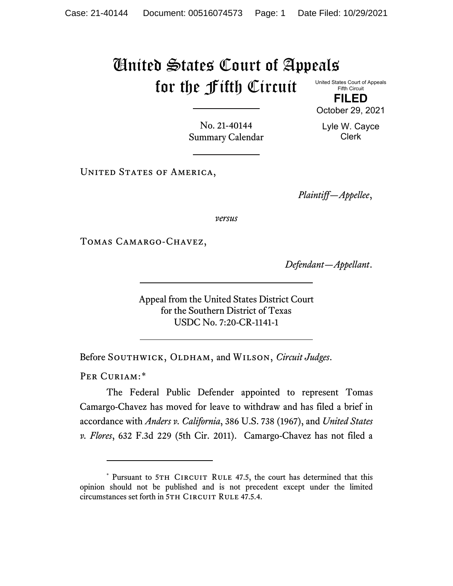## United States Court of Appeals for the Fifth Circuit

United States Court of Appeals Fifth Circuit **FILED**

October 29, 2021

Lyle W. Cayce Clerk

No. 21-40144 Summary Calendar

UNITED STATES OF AMERICA,

*Plaintiff—Appellee*,

*versus*

Tomas Camargo-Chavez,

*Defendant—Appellant*.

Appeal from the United States District Court for the Southern District of Texas USDC No. 7:20-CR-1141-1

Before SOUTHWICK, OLDHAM, and WILSON, *Circuit Judges*.

PER CURIAM:[\\*](#page-0-0)

The Federal Public Defender appointed to represent Tomas Camargo-Chavez has moved for leave to withdraw and has filed a brief in accordance with *Anders v. California*, 386 U.S. 738 (1967), and *United States v. Flores*, 632 F.3d 229 (5th Cir. 2011). Camargo-Chavez has not filed a

<span id="page-0-0"></span><sup>\*</sup> Pursuant to 5TH CIRCUIT RULE 47.5, the court has determined that this opinion should not be published and is not precedent except under the limited circumstances set forth in 5TH CIRCUIT RULE 47.5.4.